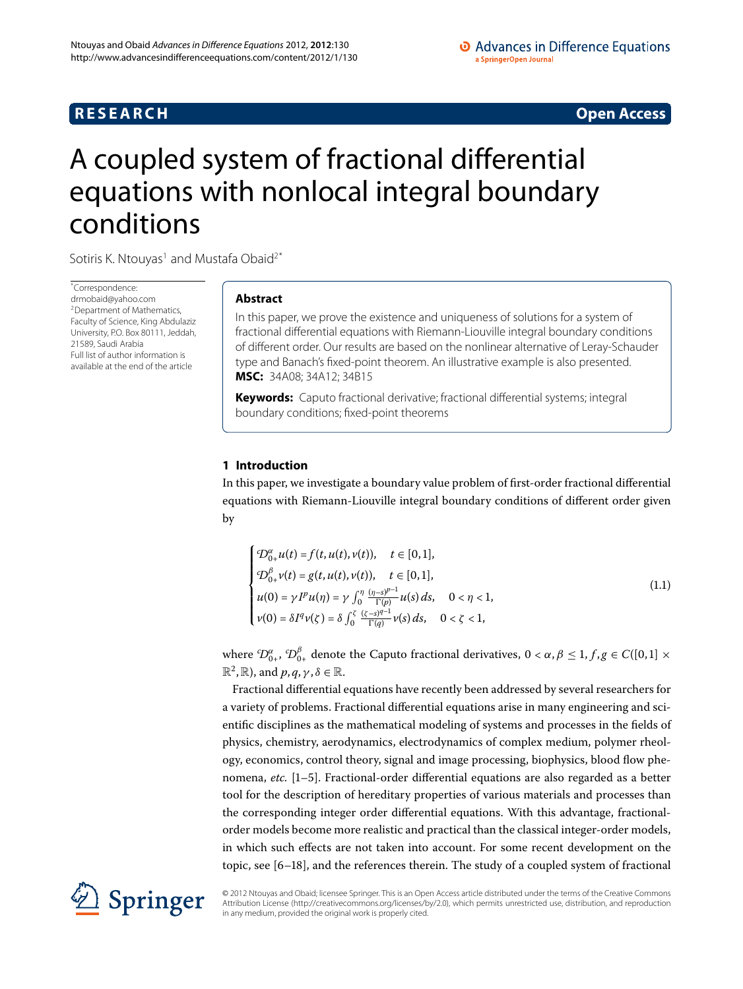# **R E S E A R C H Open Access**

# <span id="page-0-0"></span>A coupled system of fractional differential equations with nonlocal integral boundary conditions

Sotiris K. Ntouyas<sup>[1](#page-7-0)</sup> and Mustafa Obaid<sup>[2](#page-7-1)[\\*](#page-0-0)</sup>

\* Correspondence: [drmobaid@yahoo.com](mailto:drmobaid@yahoo.com) 2Department of Mathematics, Faculty of Science, King Abdulaziz University, P.O. Box 80111, Jeddah, 21589, Saudi Arabia Full list of author information is available at the end of the article

# **Abstract**

In this paper, we prove the existence and uniqueness of solutions for a system of fractional differential equations with Riemann-Liouville integral boundary conditions of different order. Our results are based on the nonlinear alternative of Leray-Schauder type and Banach's fixed-point theorem. An illustrative example is also presented. **MSC:** 34A08; 34A12; 34B15

**Keywords:** Caputo fractional derivative; fractional differential systems; integral boundary conditions; fixed-point theorems

# **1 Introduction**

In this paper, we investigate a boundary value problem of first-order fractional differential equations with Riemann-Liouville integral boundary conditions of different order given by

<span id="page-0-1"></span>
$$
\begin{cases}\n\mathcal{D}_{0+}^{\alpha}u(t) = f(t, u(t), v(t)), & t \in [0, 1], \\
\mathcal{D}_{0+}^{\beta}v(t) = g(t, u(t), v(t)), & t \in [0, 1], \\
u(0) = \gamma I^p u(\eta) = \gamma \int_0^{\eta} \frac{(\eta - s)^{p-1}}{\Gamma(p)} u(s) ds, & 0 < \eta < 1, \\
v(0) = \delta I^q v(\zeta) = \delta \int_0^{\zeta} \frac{(\zeta - s)^{q-1}}{\Gamma(q)} v(s) ds, & 0 < \zeta < 1,\n\end{cases}
$$
\n(1.1)

where  $^cD_{0+}^\alpha$ ,  $^cD_{0+}^\beta$  denote the Caputo fractional derivatives,  $0 < \alpha, \beta \le 1, f,g \in C([0,1] \times \mathbb{R})$  $\mathbb{R}^2$ ,  $\mathbb{R}$ ), and  $p, q, \gamma, \delta \in \mathbb{R}$ .

Fractional differential equations have recently been addressed by several researchers for a variety of problems. Fractional differential equations arise in many engineering and scientific disciplines as the mathematical modeling of systems and processes in the fields of physics, chemistry, aerodynamics, electrodynamics of complex medium, polymer rheology, economics, control theory, signal and image processing, biophysics, blood flow phenomena, *etc.* [1–5[\]](#page-7-3). Fractional-order differential equations are also regarded as a better tool for the description of hereditary properties of various materials and processes than the corresponding integer order differential equations. With this advantage, fractionalorder models become more realistic and practical than the classical integer-order models, in which such effects are not taken into account. For some recent development on the topic, see  $[6-18]$  $[6-18]$ , and the references therein. The study of a coupled system of fractional



© 2012 Ntouyas and Obaid; licensee Springer. This is an Open Access article distributed under the terms of the Creative Commons Attribution License [\(http://creativecommons.org/licenses/by/2.0](http://creativecommons.org/licenses/by/2.0)), which permits unrestricted use, distribution, and reproduction in any medium, provided the original work is properly cited.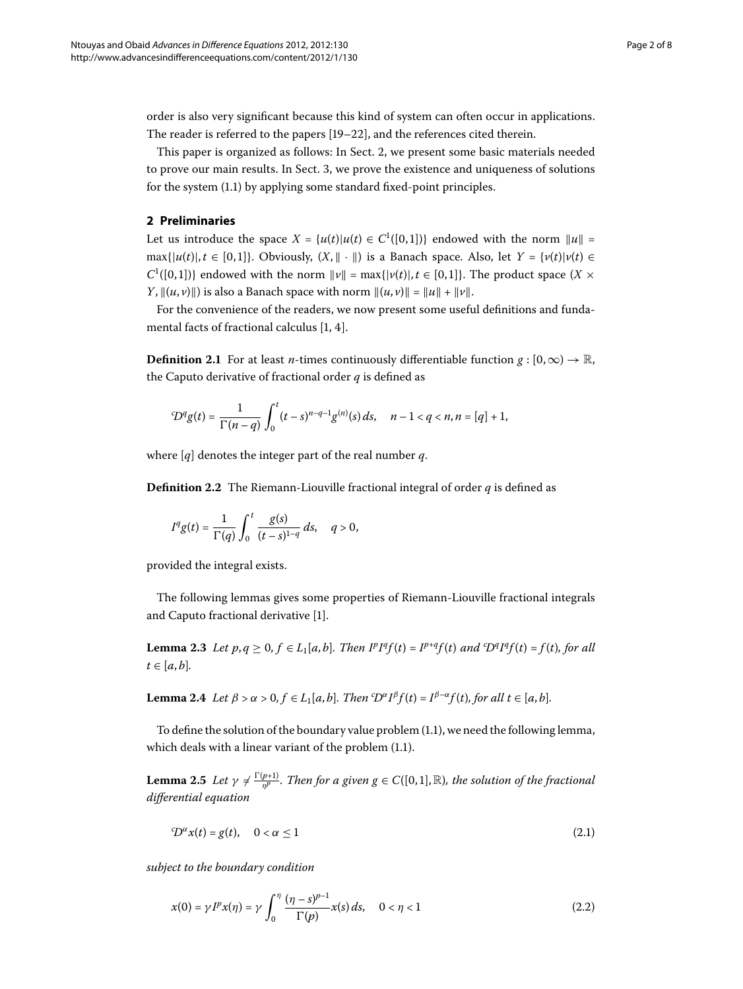<span id="page-1-0"></span>order is also very significant because this kind of system can often occur in applications. The reader is referred to the papers  $[19-22]$  $[19-22]$ , and the references cited therein.

This paper is organized as follows: In Sect. 2, we present some basic materials needed to prove our main results. In Sect. 3, we prove the existence and uniqueness of solutions for the system  $(1.1)$  by applying some standard fixed-point principles.

# **2 Preliminaries**

Let us introduce the space  $X = \{u(t) | u(t) \in C^1([0,1])\}$  endowed with the norm  $||u|| =$  $\max\{|u(t)|, t \in [0,1]\}$ . Obviously,  $(X, \|\cdot\|)$  is a Banach space. Also, let  $Y = \{v(t)|v(t) \in [0,1]\}$  $C^1([0, 1])$ } endowed with the norm  $\|v\| = \max\{|v(t)|, t \in [0, 1]\}$ . The product space  $(X \times$ *Y*,  $||(u, v)||)$  is also a Banach space with norm  $||(u, v)|| = ||u|| + ||v||$ .

For the convenience of the readers, we now present some useful definitions and fundamental facts of fractional calculus  $[1, 4]$  $[1, 4]$  $[1, 4]$  $[1, 4]$ .

**Definition 2.1** For at least *n*-times continuously differentiable function  $g : [0, \infty) \to \mathbb{R}$ , the Caputo derivative of fractional order *q* is defined as

$$
{}^c\!D^q g(t) = \frac{1}{\Gamma(n-q)} \int_0^t (t-s)^{n-q-1} g^{(n)}(s) \, ds, \quad n-1 < q < n, n = [q] + 1,
$$

where [*q*] denotes the integer part of the real number *q*.

**Definition 2.2** The Riemann-Liouville fractional integral of order *q* is defined as

$$
I^{q}g(t) = \frac{1}{\Gamma(q)} \int_0^t \frac{g(s)}{(t-s)^{1-q}} ds, \quad q > 0,
$$

<span id="page-1-1"></span>provided the integral exists.

The following lemmas gives some properties of Riemann-Liouville fractional integrals and Caputo fractional derivative [\[](#page-7-2)1].

**Lemma 2.3** Let  $p, q \ge 0, f \in L_1[a, b]$ . Then  $I^pI^qf(t) = I^{p+q}f(t)$  and  $D^qI^qf(t) = f(t)$ , for all  $t \in [a, b]$ .

**Lemma 2.4** Let  $\beta > \alpha > 0, f \in L_1[a, b]$ . Then ' $D^{\alpha}I^{\beta}f(t) = I^{\beta-\alpha}f(t)$ , for all  $t \in [a, b]$ .

To define the solution of the boundary value problem (1.1), we need the following lemma, which deals with a linear variant of the problem  $(1.1)$  $(1.1)$  $(1.1)$ .

**Lemma 2.5** Let  $\gamma \neq \frac{\Gamma(p+1)}{n^p}$ . Then for a given  $g \in C([0,1], \mathbb{R})$ , the solution of the fractional *differential equation*

<span id="page-1-2"></span>
$$
{}^{c}D^{\alpha}x(t) = g(t), \quad 0 < \alpha \le 1 \tag{2.1}
$$

*subject to the boundary condition*

$$
x(0) = \gamma I^{p} x(\eta) = \gamma \int_0^{\eta} \frac{(\eta - s)^{p-1}}{\Gamma(p)} x(s) ds, \quad 0 < \eta < 1
$$
 (2.2)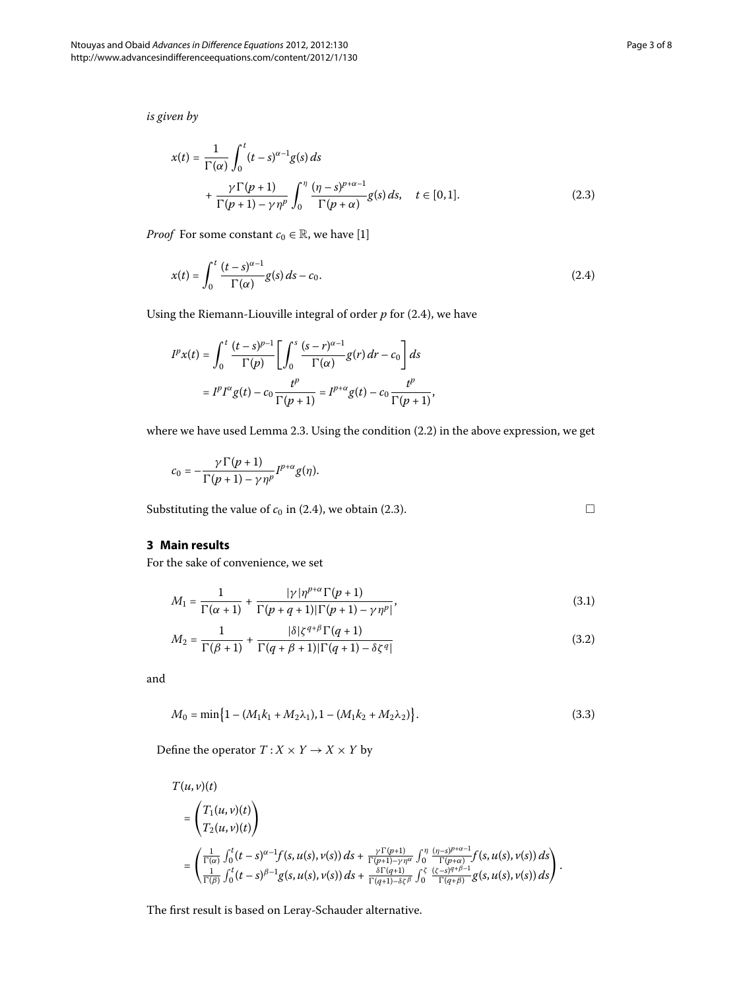<span id="page-2-5"></span> $\Box$ 

<span id="page-2-2"></span>*is given by*

<span id="page-2-1"></span>
$$
x(t) = \frac{1}{\Gamma(\alpha)} \int_0^t (t-s)^{\alpha-1} g(s) ds
$$
  
+ 
$$
\frac{\gamma \Gamma(p+1)}{\Gamma(p+1) - \gamma \eta^p} \int_0^\eta \frac{(\eta-s)^{p+\alpha-1}}{\Gamma(p+\alpha)} g(s) ds, \quad t \in [0,1].
$$
 (2.3)

*Proof* For some constant  $c_0 \in \mathbb{R}$ , we have [\[](#page-7-2)1]

$$
x(t) = \int_0^t \frac{(t-s)^{\alpha-1}}{\Gamma(\alpha)} g(s) ds - c_0.
$$
 (2.4)

Using the Riemann-Liouville integral of order  $p$  for  $(2.4)$ , we have

$$
I^{p}x(t) = \int_0^t \frac{(t-s)^{p-1}}{\Gamma(p)} \left[ \int_0^s \frac{(s-r)^{\alpha-1}}{\Gamma(\alpha)} g(r) dr - c_0 \right] ds
$$
  
=  $I^{p}I^{\alpha}g(t) - c_0 \frac{t^p}{\Gamma(p+1)} = I^{p+\alpha}g(t) - c_0 \frac{t^p}{\Gamma(p+1)},$ 

<span id="page-2-0"></span>where we have used Lemma 2[.](#page-1-2)3. Using the condition  $(2.2)$  in the above expression, we get

$$
c_0=-\frac{\gamma\Gamma(p+1)}{\Gamma(p+1)-\gamma\eta^p}I^{p+\alpha}g(\eta).
$$

<span id="page-2-4"></span><span id="page-2-3"></span>Substituting the value of  $c_0$  in (2.4), we obtain (2.3).

# **3 Main results**

For the sake of convenience, we set

$$
M_1 = \frac{1}{\Gamma(\alpha+1)} + \frac{|\gamma|\eta^{p+\alpha}\Gamma(p+1)}{\Gamma(p+q+1)|\Gamma(p+1) - \gamma\eta^p|},
$$
\n(3.1)

$$
M_2 = \frac{1}{\Gamma(\beta + 1)} + \frac{|\delta|\zeta^{q+\beta}\Gamma(q+1)}{\Gamma(q+\beta+1)|\Gamma(q+1) - \delta\zeta^q|}
$$
(3.2)

and

$$
M_0 = \min\{1 - (M_1k_1 + M_2\lambda_1), 1 - (M_1k_2 + M_2\lambda_2)\}.
$$
\n(3.3)

Define the operator  $T: X \times Y \rightarrow X \times Y$  by

$$
T(u, v)(t)
$$
\n
$$
= \left(T_1(u, v)(t)\right)
$$
\n
$$
= \left(\frac{T_1(u, v)(t)}{T_2(u, v)(t)}\right)
$$
\n
$$
= \left(\frac{\frac{1}{\Gamma(\alpha)}\int_0^t (t-s)^{\alpha-1}f(s, u(s), v(s)) ds + \frac{\gamma \Gamma(\rho+1)}{\Gamma(\rho+1)-\gamma\eta^{\alpha}}\int_0^{\eta} \frac{(\eta-s)^{\rho+\alpha-1}}{\Gamma(\rho+\alpha)}f(s, u(s), v(s)) ds}{\frac{\delta \Gamma(\rho+1)}{\Gamma(\rho+1)-\delta\zeta^{\beta}}\int_0^{\zeta} \frac{(\zeta-s)^{\alpha+\beta-1}}{\Gamma(\alpha+\beta)}g(s, u(s), v(s)) ds}\right).
$$

The first result is based on Leray-Schauder alternative.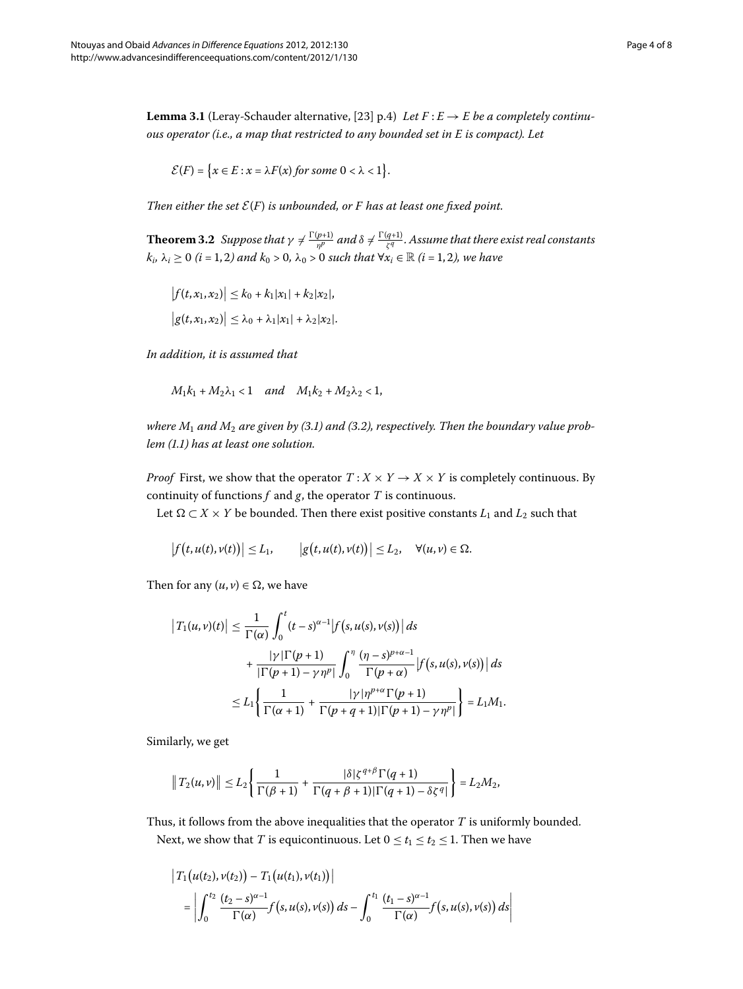<span id="page-3-0"></span>**Lemma 3.1** (Leray-Schauder alternative, [23[\]](#page-7-9) p.4) *Let*  $F: E \to E$  *be a completely continuous operator (i.e., a map that restricted to any bounded set in E is compact). Let*

$$
\mathcal{E}(F) = \{x \in E : x = \lambda F(x) \text{ for some } 0 < \lambda < 1\}.
$$

*Then either the set*  $\mathcal{E}(F)$  *is unbounded, or F has at least one fixed point.* 

**Theorem 3.2** Suppose that  $\gamma \neq \frac{\Gamma(p+1)}{p^p}$  and  $\delta \neq \frac{\Gamma(q+1)}{\zeta^q}$ . Assume that there exist real constants  $k_i$ ,  $\lambda_i \ge 0$  (*i* = 1, 2) and  $k_0 > 0$ ,  $\lambda_0 > 0$  such that  $\forall x_i \in \mathbb{R}$  (*i* = 1, 2), we have

$$
|f(t, x_1, x_2)| \le k_0 + k_1 |x_1| + k_2 |x_2|,
$$
  

$$
|g(t, x_1, x_2)| \le \lambda_0 + \lambda_1 |x_1| + \lambda_2 |x_2|.
$$

*In addition, it is assumed that*

$$
M_1k_1+M_2\lambda_1<1\quad and\quad M_1k_2+M_2\lambda_2<1,
$$

where  $M_1$  and  $M_2$  are given by (3[.](#page-2-4)1) and (3.2), respectively. Then the boundary value prob*lem ([.](#page-0-1)) has at least one solution.*

*Proof* First, we show that the operator  $T : X \times Y \to X \times Y$  is completely continuous. By continuity of functions  $f$  and  $g$ , the operator  $T$  is continuous.

Let  $\Omega \subset X \times Y$  be bounded. Then there exist positive constants  $L_1$  and  $L_2$  such that

$$
\big|f(t,u(t),v(t))\big|\leq L_1,\qquad \big|g\big(t,u(t),v(t)\big)\big|\leq L_2,\quad \forall (u,v)\in\Omega.
$$

Then for any  $(u, v) \in \Omega$ , we have

$$
\begin{aligned} \left|T_1(u,v)(t)\right| &\leq \frac{1}{\Gamma(\alpha)} \int_0^t (t-s)^{\alpha-1} \left|f\left(s,u(s),v(s)\right)\right| ds \\ &+ \frac{|\gamma|\Gamma(p+1)}{|\Gamma(p+1)-\gamma\eta^p|} \int_0^\eta \frac{(\eta-s)^{p+\alpha-1}}{\Gamma(p+\alpha)} \left|f\left(s,u(s),v(s)\right)\right| ds \\ &\leq L_1 \left\{\frac{1}{\Gamma(\alpha+1)} + \frac{|\gamma|\eta^{p+\alpha}\Gamma(p+1)}{\Gamma(p+q+1)|\Gamma(p+1)-\gamma\eta^p|}\right\} = L_1 M_1. \end{aligned}
$$

Similarly, we get

$$
\|T_2(u,v)\| \leq L_2 \left\{ \frac{1}{\Gamma(\beta+1)} + \frac{|\delta| \zeta^{q+\beta} \Gamma(q+1)}{\Gamma(q+\beta+1) |\Gamma(q+1)-\delta \zeta^q|} \right\} = L_2 M_2,
$$

Thus, it follows from the above inequalities that the operator *T* is uniformly bounded. Next, we show that *T* is equicontinuous. Let  $0 \le t_1 \le t_2 \le 1$ . Then we have

$$
\begin{aligned} \left| T_1(u(t_2), v(t_2)) - T_1(u(t_1), v(t_1)) \right| \\ &= \left| \int_0^{t_2} \frac{(t_2 - s)^{\alpha - 1}}{\Gamma(\alpha)} f(s, u(s), v(s)) \, ds - \int_0^{t_1} \frac{(t_1 - s)^{\alpha - 1}}{\Gamma(\alpha)} f(s, u(s), v(s)) \, ds \right| \end{aligned}
$$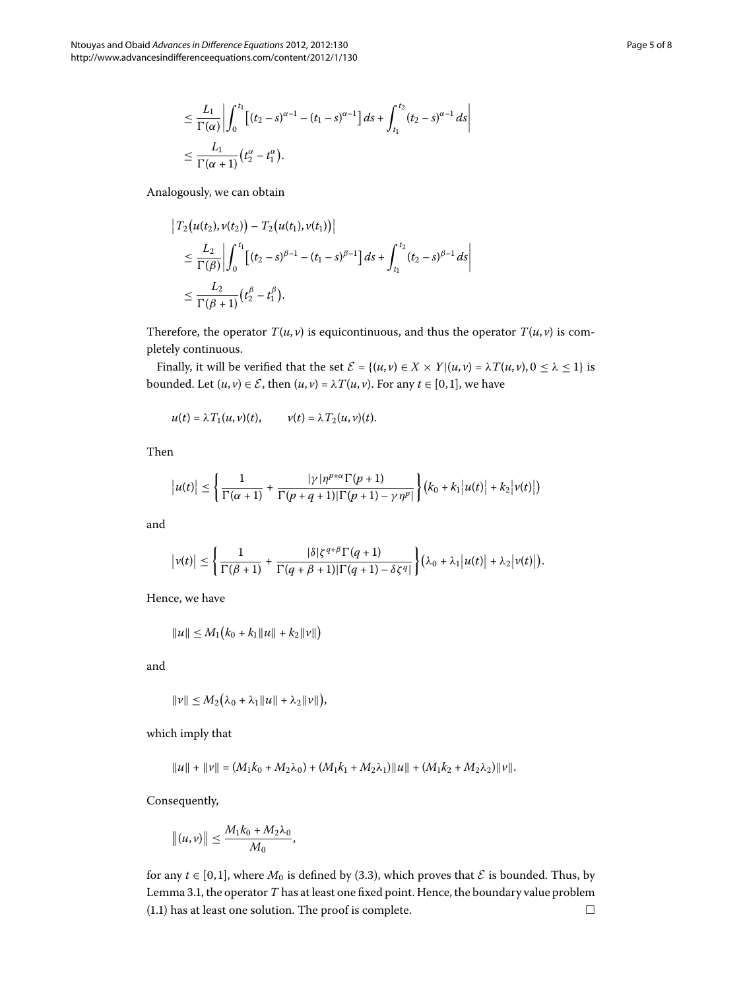$$
\leq \frac{L_1}{\Gamma(\alpha)} \left| \int_0^{t_1} \left[ (t_2 - s)^{\alpha - 1} - (t_1 - s)^{\alpha - 1} \right] ds + \int_{t_1}^{t_2} (t_2 - s)^{\alpha - 1} ds \right|
$$
  

$$
\leq \frac{L_1}{\Gamma(\alpha + 1)} (t_2^{\alpha} - t_1^{\alpha}).
$$

Analogously, we can obtain

$$
\begin{aligned} \left| T_2(u(t_2), v(t_2)) - T_2(u(t_1), v(t_1)) \right| \\ &\leq \frac{L_2}{\Gamma(\beta)} \left| \int_0^{t_1} \left[ (t_2 - s)^{\beta - 1} - (t_1 - s)^{\beta - 1} \right] ds + \int_{t_1}^{t_2} (t_2 - s)^{\beta - 1} ds \right| \\ &\leq \frac{L_2}{\Gamma(\beta + 1)} (t_2^{\beta} - t_1^{\beta}). \end{aligned}
$$

Therefore, the operator  $T(u, v)$  is equicontinuous, and thus the operator  $T(u, v)$  is completely continuous.

Finally, it will be verified that the set  $\mathcal{E} = \{(u, v) \in X \times Y | (u, v) = \lambda T(u, v), 0 \le \lambda \le 1 \}$  is bounded. Let  $(u, v) \in \mathcal{E}$ , then  $(u, v) = \lambda T(u, v)$ . For any  $t \in [0, 1]$ , we have

$$
u(t) = \lambda T_1(u,v)(t), \qquad v(t) = \lambda T_2(u,v)(t).
$$

Then

$$
|u(t)| \leq \left\{\frac{1}{\Gamma(\alpha+1)} + \frac{|\gamma|\eta^{p+\alpha}\Gamma(p+1)}{\Gamma(p+q+1)|\Gamma(p+1)-\gamma\eta^p|}\right\} (k_0 + k_1|u(t)| + k_2|\nu(t)|)
$$

and

$$
\big|\nu(t)\big|\leq\Bigg\{\frac{1}{\Gamma(\beta+1)}+\frac{|\delta|\zeta^{q+\beta}\Gamma(q+1)}{\Gamma(q+\beta+1)|\Gamma(q+1)-\delta\zeta^{q}|}\Bigg\}\big(\lambda_0+\lambda_1\big|u(t)\big|+\lambda_2\big|\nu(t)\big|\big).
$$

Hence, we have

$$
||u|| \leq M_1 (k_0 + k_1 ||u|| + k_2 ||v||)
$$

and

$$
\|\nu\| \le M_2(\lambda_0 + \lambda_1 \|\mu\| + \lambda_2 \|\nu\|),
$$

which imply that

$$
||u|| + ||v|| = (M_1k_0 + M_2\lambda_0) + (M_1k_1 + M_2\lambda_1)||u|| + (M_1k_2 + M_2\lambda_2)||v||.
$$

Consequently,

$$
|| (u,v)|| \leq \frac{M_1k_0 + M_2\lambda_0}{M_0},
$$

for any  $t \in [0, 1]$ , where  $M_0$  is defined by (3.3), which proves that  $\mathcal E$  is bounded. Thus, by Lemma 3[.](#page-3-0)1, the operator *T* has at least one fixed point. Hence, the boundary value problem (1[.](#page-0-1)1) has at least one solution. The proof is complete.  $\Box$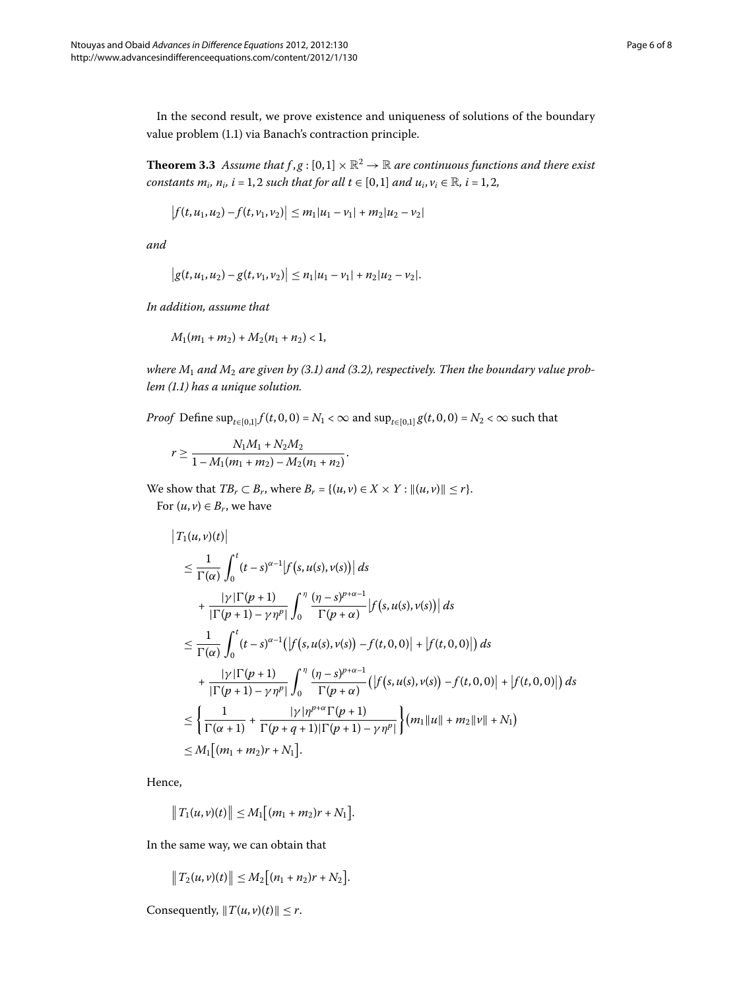<span id="page-5-0"></span>In the second result, we prove existence and uniqueness of solutions of the boundary value problem (1.1) via Banach's contraction principle.

**Theorem 3.3** Assume that  $f, g : [0,1] \times \mathbb{R}^2 \to \mathbb{R}$  are continuous functions and there exist *constants*  $m_i$ *,*  $n_i$ *, i* = 1, 2 *such that for all t*  $\in$  [0,1] *and u<sub>i</sub>*,  $v_i \in \mathbb{R}$ *, i* = 1, 2*,* 

$$
\left|f(t,u_1,u_2)-f(t,v_1,v_2)\right|\leq m_1|u_1-v_1|+m_2|u_2-v_2|
$$

*and*

$$
|g(t,u_1,u_2)-g(t,v_1,v_2)|\leq n_1|u_1-v_1|+n_2|u_2-v_2|.
$$

*In addition, assume that*

$$
M_1(m_1 + m_2) + M_2(n_1 + n_2) < 1,
$$

where  $M_1$  and  $M_2$  are given by (3[.](#page-2-4)1) and (3.2), respectively. Then the boundary value prob*lem ([.](#page-0-1)) has a unique solution.*

*Proof* Define  $\sup_{t \in [0,1]} f(t, 0, 0) = N_1 < \infty$  and  $\sup_{t \in [0,1]} g(t, 0, 0) = N_2 < \infty$  such that

$$
r \geq \frac{N_1M_1 + N_2M_2}{1 - M_1(m_1 + m_2) - M_2(n_1 + n_2)}.
$$

We show that  $TB_r \subset B_r$ , where  $B_r = \{(u, v) \in X \times Y : ||(u, v)|| \leq r\}.$ 

For  $(u, v) \in B_r$ , we have

$$
\begin{split}\n\left|T_{1}(u,v)(t)\right| \\
&\leq \frac{1}{\Gamma(\alpha)}\int_{0}^{t}(t-s)^{\alpha-1}\left|f\left(s,u(s),v(s)\right)\right|ds \\
&+\frac{|\gamma|\Gamma(p+1)}{|\Gamma(p+1)-\gamma\eta^{p}|}\int_{0}^{\eta}\frac{(\eta-s)^{p+\alpha-1}}{\Gamma(p+\alpha)}\left|f\left(s,u(s),v(s)\right)\right|ds \\
&\leq \frac{1}{\Gamma(\alpha)}\int_{0}^{t}(t-s)^{\alpha-1}\left(\left|f\left(s,u(s),v(s)\right)-f(t,0,0)\right|+\left|f(t,0,0)\right|\right)ds \\
&+\frac{|\gamma|\Gamma(p+1)}{|\Gamma(p+1)-\gamma\eta^{p}|}\int_{0}^{\eta}\frac{(\eta-s)^{p+\alpha-1}}{\Gamma(p+\alpha)}\left(\left|f\left(s,u(s),v(s)\right)-f(t,0,0)\right|+\left|f(t,0,0)\right|\right)ds \\
&\leq \left\{\frac{1}{\Gamma(\alpha+1)}+\frac{|\gamma|\eta^{p+\alpha}\Gamma(p+1)}{\Gamma(p+q+1)|\Gamma(p+1)-\gamma\eta^{p}|}\right\}(m_{1}\|u\|+m_{2}\|v\|+N_{1}) \\
&\leq M_{1}\left[(m_{1}+m_{2})r+N_{1}\right].\n\end{split}
$$

Hence,

$$
||T_1(u,v)(t)|| \leq M_1 [(m_1+m_2)r+N_1].
$$

In the same way, we can obtain that

$$
||T_2(u,v)(t)|| \leq M_2[(n_1+n_2)r+N_2].
$$

Consequently,  $||T(u, v)(t)|| \leq r$ .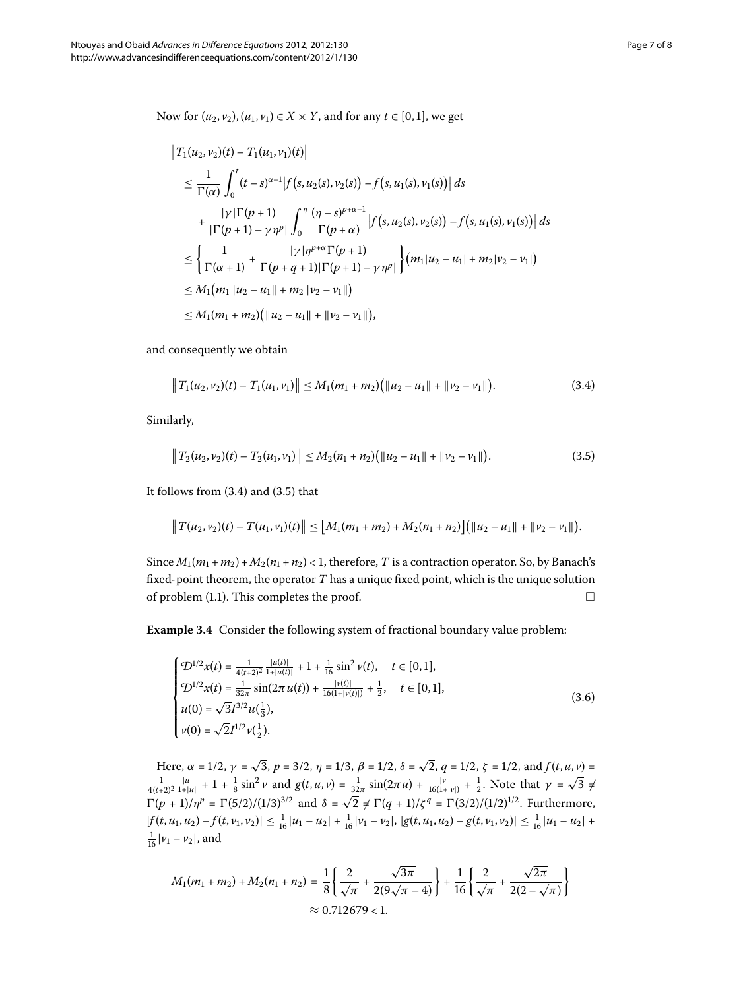Now for  $(u_2, v_2)$ ,  $(u_1, v_1) \in X \times Y$ , and for any *t* ∈ [0,1], we get

$$
\begin{split}\n\left|T_{1}(u_{2},v_{2})(t)-T_{1}(u_{1},v_{1})(t)\right| \\
&\leq\frac{1}{\Gamma(\alpha)}\int_{0}^{t}(t-s)^{\alpha-1}\left|f\left(s,u_{2}(s),v_{2}(s)\right)-f\left(s,u_{1}(s),v_{1}(s)\right)\right|ds \\
&+\frac{|\gamma|\Gamma(p+1)}{|\Gamma(p+1)-\gamma\eta^{p}|}\int_{0}^{\eta}\frac{(\eta-s)^{p+\alpha-1}}{\Gamma(p+\alpha)}\left|f\left(s,u_{2}(s),v_{2}(s)\right)-f\left(s,u_{1}(s),v_{1}(s)\right)\right|ds \\
&\leq\left\{\frac{1}{\Gamma(\alpha+1)}+\frac{|\gamma|\eta^{p+\alpha}\Gamma(p+1)}{\Gamma(p+q+1)|\Gamma(p+1)-\gamma\eta^{p}|}\right\}\left(m_{1}|u_{2}-u_{1}|+m_{2}|v_{2}-v_{1}|\right) \\
&\leq M_{1}(m_{1}|u_{2}-u_{1}|+m_{2}|v_{2}-v_{1}|)\n\end{split}
$$

and consequently we obtain

<span id="page-6-1"></span><span id="page-6-0"></span>
$$
\|T_1(u_2,\nu_2)(t)-T_1(u_1,\nu_1)\| \leq M_1(m_1+m_2)\big(\|u_2-u_1\|+\|v_2-v_1\|\big).
$$
 (3.4)

Similarly,

$$
\|T_2(u_2,\nu_2)(t)-T_2(u_1,\nu_1)\|\leq M_2(n_1+n_2)\big(\|u_2-u_1\|+\|\nu_2-\nu_1\|\big). \hspace{1.5cm} (3.5)
$$

It follows from  $(3.4)$  and  $(3.5)$  that

<span id="page-6-2"></span>
$$
||T(u_2,v_2)(t)-T(u_1,v_1)(t)|| \leq [M_1(m_1+m_2)+M_2(n_1+n_2)] (||u_2-u_1||+||v_2-v_1||).
$$

Since  $M_1(m_1 + m_2) + M_2(n_1 + n_2) < 1$ , therefore, *T* is a contraction operator. So, by Banach's fixed-point theorem, the operator *T* has a unique fixed point, which is the unique solution of problem  $(1.1)$  $(1.1)$  $(1.1)$ . This completes the proof.  $\Box$ 

**Example 3.4** Consider the following system of fractional boundary value problem:

$$
\begin{cases}\n\mathcal{D}^{1/2}x(t) = \frac{1}{4(t+2)^2} \frac{|u(t)|}{1+|u(t)|} + 1 + \frac{1}{16} \sin^2 v(t), \quad t \in [0,1], \\
\mathcal{D}^{1/2}x(t) = \frac{1}{32\pi} \sin(2\pi u(t)) + \frac{|v(t)|}{16(1+|v(t)|)} + \frac{1}{2}, \quad t \in [0,1], \\
u(0) = \sqrt{3}I^{3/2}u(\frac{1}{3}), \\
v(0) = \sqrt{2}I^{1/2}v(\frac{1}{2}).\n\end{cases} (3.6)
$$

Here,  $\alpha = 1/2$ ,  $\gamma = \sqrt{3}$ ,  $p = 3/2$ ,  $\eta = 1/3$ ,  $\beta = 1/2$ ,  $\delta = \sqrt{2}$ ,  $q = 1/2$ ,  $\zeta = 1/2$ , and  $f(t, u, v) =$  $\frac{1}{4(t+2)^2} \frac{|u|}{1+|u|} + 1 + \frac{1}{8} \sin^2 \nu$  and  $g(t, u, v) = \frac{1}{32\pi} \sin(2\pi u) + \frac{|\nu|}{16(1+|v|)} + \frac{1}{2}$ . Note that  $\gamma = \sqrt{3} \neq$  $\Gamma(p + 1)/\eta^p = \Gamma(5/2)/(1/3)^{3/2}$  and  $\delta = \sqrt{2} \neq \Gamma(q + 1)/\zeta^q = \Gamma(3/2)/(1/2)^{1/2}$ . Furthermore,  $|f(t, u_1, u_2) - f(t, v_1, v_2)| \leq \frac{1}{16}|u_1 - u_2| + \frac{1}{16}|v_1 - v_2|, |g(t, u_1, u_2) - g(t, v_1, v_2)| \leq \frac{1}{16}|u_1 - u_2| +$  $\frac{1}{16}|\nu_1 - \nu_2|$ , and

$$
M_1(m_1 + m_2) + M_2(n_1 + n_2) = \frac{1}{8} \left\{ \frac{2}{\sqrt{\pi}} + \frac{\sqrt{3\pi}}{2(9\sqrt{\pi} - 4)} \right\} + \frac{1}{16} \left\{ \frac{2}{\sqrt{\pi}} + \frac{\sqrt{2\pi}}{2(2 - \sqrt{\pi})} \right\}
$$
  

$$
\approx 0.712679 < 1.
$$